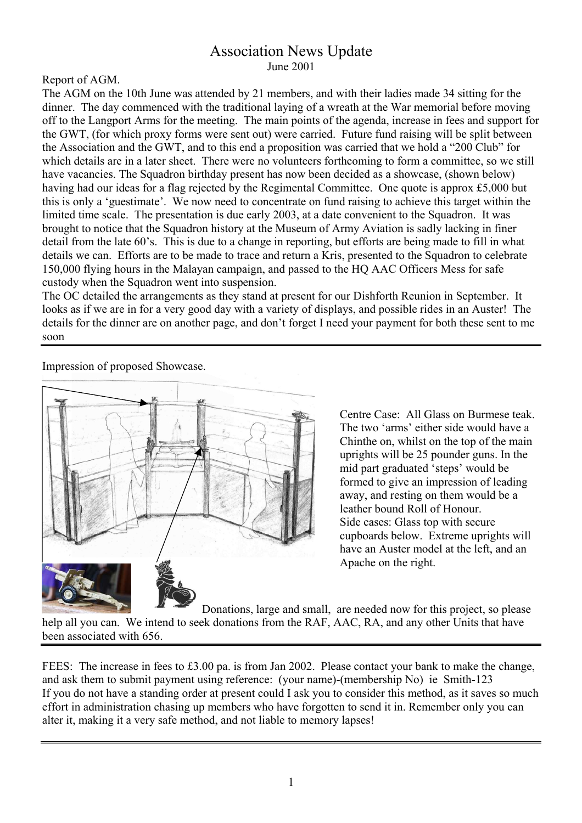### Association News Update June 2001

#### Report of AGM.

The AGM on the 10th June was attended by 21 members, and with their ladies made 34 sitting for the dinner. The day commenced with the traditional laying of a wreath at the War memorial before moving off to the Langport Arms for the meeting. The main points of the agenda, increase in fees and support for the GWT, (for which proxy forms were sent out) were carried. Future fund raising will be split between the Association and the GWT, and to this end a proposition was carried that we hold a "200 Club" for which details are in a later sheet. There were no volunteers forthcoming to form a committee, so we still have vacancies. The Squadron birthday present has now been decided as a showcase, (shown below) having had our ideas for a flag rejected by the Regimental Committee. One quote is approx £5,000 but this is only a 'guestimate'. We now need to concentrate on fund raising to achieve this target within the limited time scale. The presentation is due early 2003, at a date convenient to the Squadron. It was brought to notice that the Squadron history at the Museum of Army Aviation is sadly lacking in finer detail from the late 60's. This is due to a change in reporting, but efforts are being made to fill in what details we can. Efforts are to be made to trace and return a Kris, presented to the Squadron to celebrate 150,000 flying hours in the Malayan campaign, and passed to the HQ AAC Officers Mess for safe custody when the Squadron went into suspension.

The OC detailed the arrangements as they stand at present for our Dishforth Reunion in September. It looks as if we are in for a very good day with a variety of displays, and possible rides in an Auster! The details for the dinner are on another page, and don't forget I need your payment for both these sent to me soon

Impression of proposed Showcase.



Centre Case: All Glass on Burmese teak. The two 'arms' either side would have a Chinthe on, whilst on the top of the main uprights will be 25 pounder guns. In the mid part graduated 'steps' would be formed to give an impression of leading away, and resting on them would be a leather bound Roll of Honour. Side cases: Glass top with secure cupboards below. Extreme uprights will have an Auster model at the left, and an Apache on the right.

 Donations, large and small, are needed now for this project, so please help all you can. We intend to seek donations from the RAF, AAC, RA, and any other Units that have been associated with 656.

FEES: The increase in fees to £3.00 pa. is from Jan 2002. Please contact your bank to make the change, and ask them to submit payment using reference: (your name)-(membership No) ie Smith-123 If you do not have a standing order at present could I ask you to consider this method, as it saves so much effort in administration chasing up members who have forgotten to send it in. Remember only you can alter it, making it a very safe method, and not liable to memory lapses!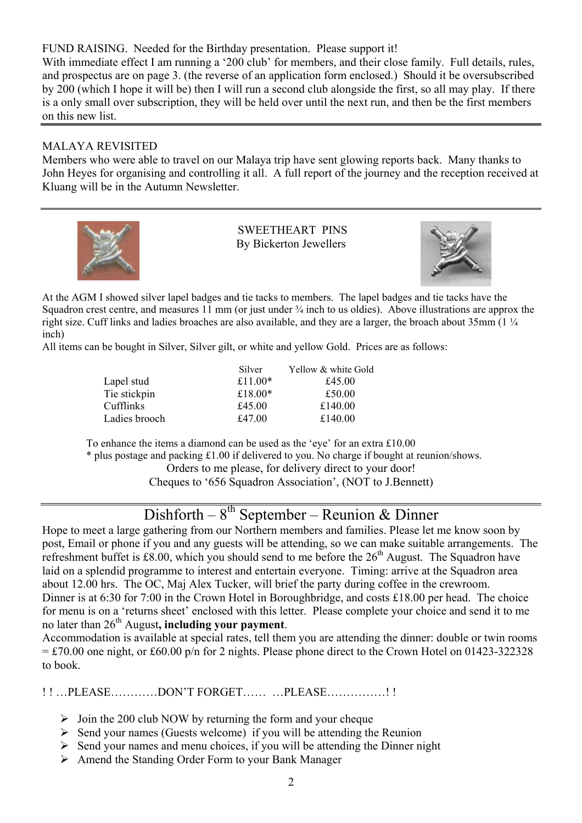FUND RAISING. Needed for the Birthday presentation. Please support it!

With immediate effect I am running a '200 club' for members, and their close family. Full details, rules, and prospectus are on page 3. (the reverse of an application form enclosed.) Should it be oversubscribed by 200 (which I hope it will be) then I will run a second club alongside the first, so all may play. If there is a only small over subscription, they will be held over until the next run, and then be the first members on this new list.

#### MALAYA REVISITED

Members who were able to travel on our Malaya trip have sent glowing reports back. Many thanks to John Heyes for organising and controlling it all. A full report of the journey and the reception received at Kluang will be in the Autumn Newsletter.



 SWEETHEART PINS By Bickerton Jewellers



At the AGM I showed silver lapel badges and tie tacks to members. The lapel badges and tie tacks have the Squadron crest centre, and measures 11 mm (or just under  $\frac{1}{4}$  inch to us oldies). Above illustrations are approx the right size. Cuff links and ladies broaches are also available, and they are a larger, the broach about 35mm (1 ¼ inch)

All items can be bought in Silver, Silver gilt, or white and yellow Gold. Prices are as follows:

|               | Silver     | Yellow & white Gold |
|---------------|------------|---------------------|
| Lapel stud    | £11.00 $*$ | £45.00              |
| Tie stickpin  | £18.00 $*$ | £50.00              |
| Cufflinks     | £45.00     | £140.00             |
| Ladies brooch | £47.00     | £140.00             |

To enhance the items a diamond can be used as the 'eye' for an extra £10.00

\* plus postage and packing £1.00 if delivered to you. No charge if bought at reunion/shows.

Orders to me please, for delivery direct to your door!

Cheques to '656 Squadron Association', (NOT to J.Bennett)

# $Dishforth - 8<sup>th</sup> September - Reunion & Dinner$

Hope to meet a large gathering from our Northern members and families. Please let me know soon by post, Email or phone if you and any guests will be attending, so we can make suitable arrangements. The refreshment buffet is £8.00, which you should send to me before the  $26<sup>th</sup>$  August. The Squadron have laid on a splendid programme to interest and entertain everyone. Timing: arrive at the Squadron area about 12.00 hrs. The OC, Maj Alex Tucker, will brief the party during coffee in the crewroom. Dinner is at 6:30 for 7:00 in the Crown Hotel in Boroughbridge, and costs £18.00 per head. The choice for menu is on a 'returns sheet' enclosed with this letter. Please complete your choice and send it to me no later than 26<sup>th</sup> August, **including your payment**.

Accommodation is available at special rates, tell them you are attending the dinner: double or twin rooms  $= \text{\textsterling}70.00$  one night, or £60.00 p/n for 2 nights. Please phone direct to the Crown Hotel on 01423-322328 to book.

!!...PLEASE...........DON'T FORGET...........PLEASE..............!!

- $\geq$  Join the 200 club NOW by returning the form and your cheque
- $\triangleright$  Send your names (Guests welcome) if you will be attending the Reunion
- $\triangleright$  Send your names and menu choices, if you will be attending the Dinner night
- $\triangleright$  Amend the Standing Order Form to your Bank Manager